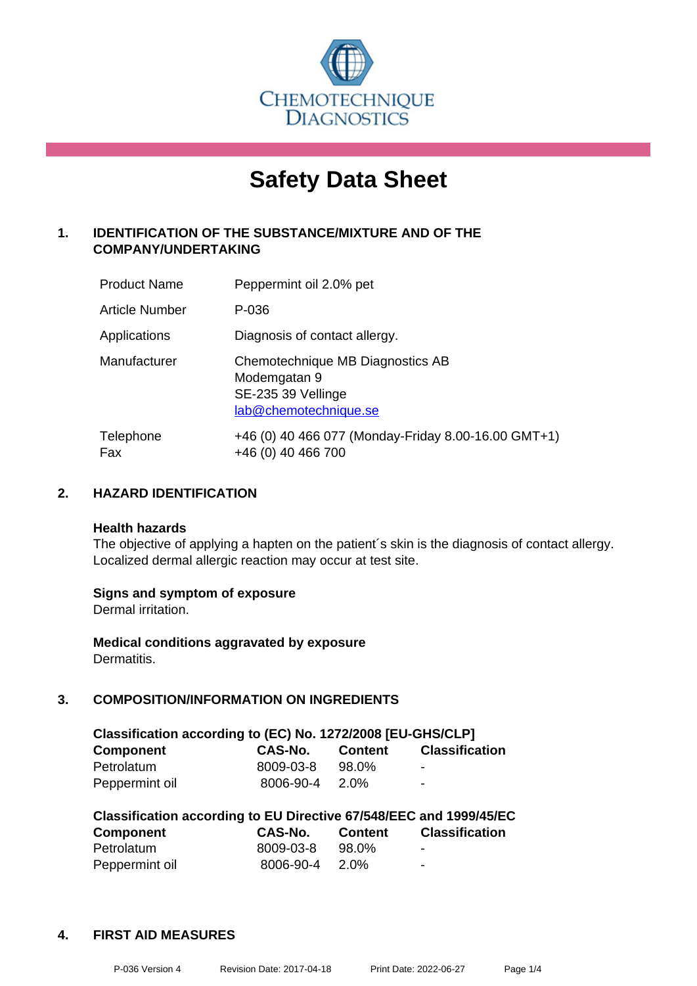

# **Safety Data Sheet**

## **1. IDENTIFICATION OF THE SUBSTANCE/MIXTURE AND OF THE COMPANY/UNDERTAKING**

| <b>Product Name</b> | Peppermint oil 2.0% pet                                                                         |
|---------------------|-------------------------------------------------------------------------------------------------|
| Article Number      | P-036                                                                                           |
| Applications        | Diagnosis of contact allergy.                                                                   |
| Manufacturer        | Chemotechnique MB Diagnostics AB<br>Modemgatan 9<br>SE-235 39 Vellinge<br>lab@chemotechnique.se |
| Telephone<br>Fax    | +46 (0) 40 466 077 (Monday-Friday 8.00-16.00 GMT+1)<br>+46 (0) 40 466 700                       |

## **2. HAZARD IDENTIFICATION**

#### **Health hazards**

The objective of applying a hapten on the patient's skin is the diagnosis of contact allergy. Localized dermal allergic reaction may occur at test site.

## **Signs and symptom of exposure**

Dermal irritation.

**Medical conditions aggravated by exposure** Dermatitis.

## **3. COMPOSITION/INFORMATION ON INGREDIENTS**

| Classification according to (EC) No. 1272/2008 [EU-GHS/CLP] |           |                |                          |  |
|-------------------------------------------------------------|-----------|----------------|--------------------------|--|
| <b>Component</b>                                            | CAS-No.   | <b>Content</b> | <b>Classification</b>    |  |
| Petrolatum                                                  | 8009-03-8 | 98.0%          | $\overline{\phantom{0}}$ |  |
| Peppermint oil                                              | 8006-90-4 | 2.0%           | $\overline{\phantom{0}}$ |  |

| Classification according to EU Directive 67/548/EEC and 1999/45/EC |           |                |                       |  |  |
|--------------------------------------------------------------------|-----------|----------------|-----------------------|--|--|
| <b>Component</b>                                                   | CAS-No.   | <b>Content</b> | <b>Classification</b> |  |  |
| Petrolatum                                                         | 8009-03-8 | 98.0%          | -                     |  |  |
| Peppermint oil                                                     | 8006-90-4 | 2.0%           | -                     |  |  |

#### **4. FIRST AID MEASURES**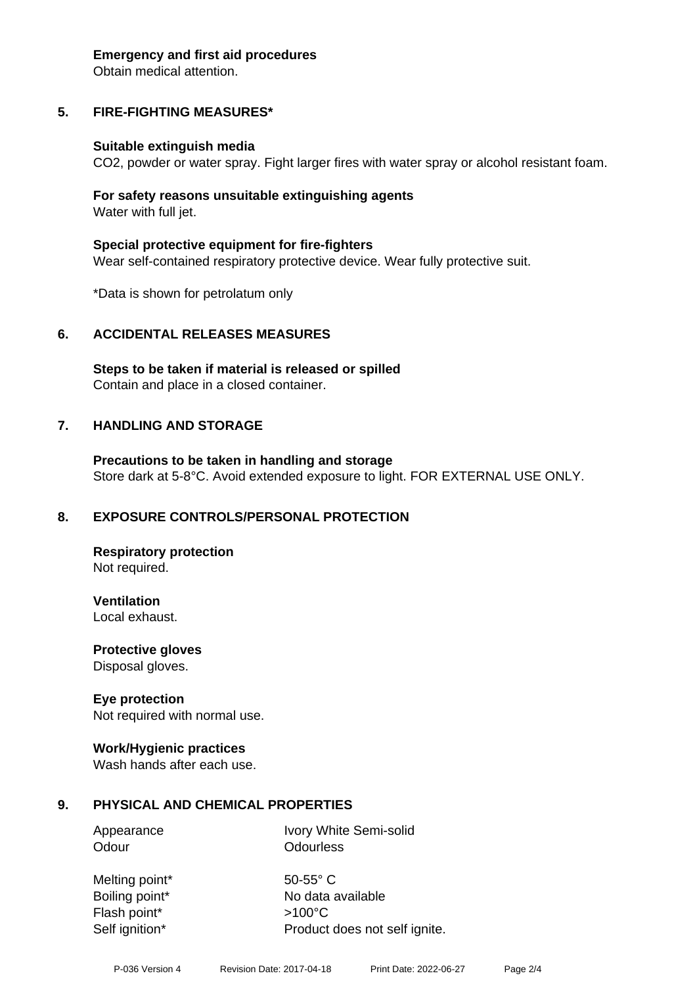#### **Emergency and first aid procedures**

Obtain medical attention.

# **5. FIRE-FIGHTING MEASURES\***

## **Suitable extinguish media**

CO2, powder or water spray. Fight larger fires with water spray or alcohol resistant foam.

## **For safety reasons unsuitable extinguishing agents** Water with full jet.

**Special protective equipment for fire-fighters** Wear self-contained respiratory protective device. Wear fully protective suit.

\*Data is shown for petrolatum only

# **6. ACCIDENTAL RELEASES MEASURES**

**Steps to be taken if material is released or spilled** Contain and place in a closed container.

# **7. HANDLING AND STORAGE**

**Precautions to be taken in handling and storage** Store dark at 5-8°C. Avoid extended exposure to light. FOR EXTERNAL USE ONLY.

# **8. EXPOSURE CONTROLS/PERSONAL PROTECTION**

**Respiratory protection** Not required.

**Ventilation** Local exhaust.

**Protective gloves**

Disposal gloves.

# **Eye protection**

Not required with normal use.

## **Work/Hygienic practices**

Wash hands after each use.

# **9. PHYSICAL AND CHEMICAL PROPERTIES**

Appearance Ivory White Semi-solid Odour **Odourless** 

Melting point\* 50-55° C Flash point\* >100°C

Boiling point\* No data available Self ignition\* Product does not self ignite.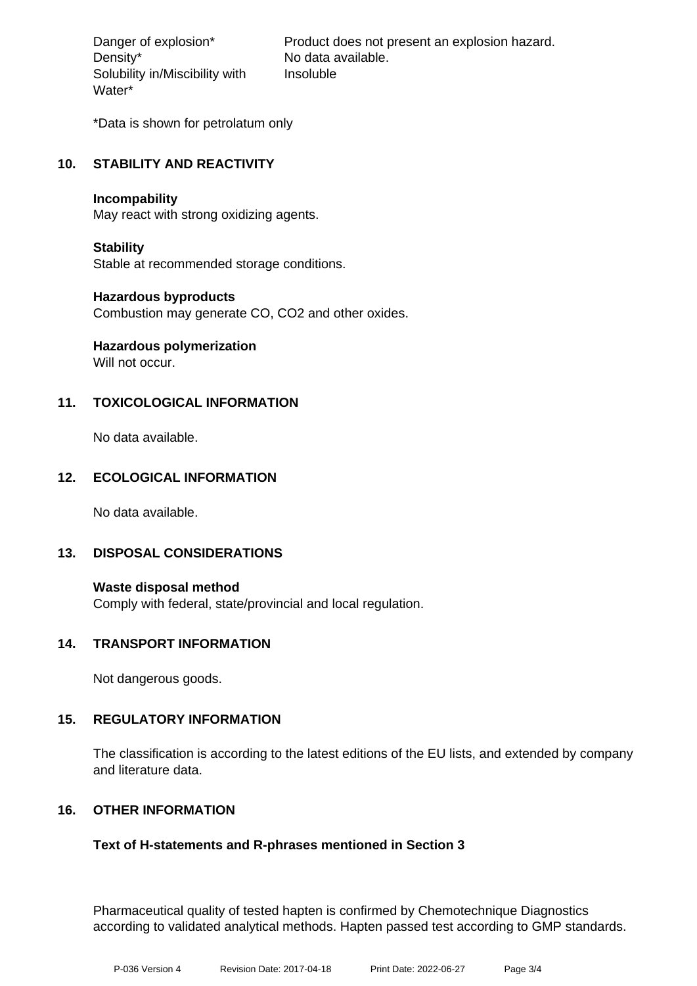Density\* No data available. Solubility in/Miscibility with Water\*

Danger of explosion\* Product does not present an explosion hazard. Insoluble

\*Data is shown for petrolatum only

## **10. STABILITY AND REACTIVITY**

#### **Incompability**

May react with strong oxidizing agents.

## **Stability**

Stable at recommended storage conditions.

## **Hazardous byproducts**

Combustion may generate CO, CO2 and other oxides.

# **Hazardous polymerization**

Will not occur.

## **11. TOXICOLOGICAL INFORMATION**

No data available.

## **12. ECOLOGICAL INFORMATION**

No data available.

## **13. DISPOSAL CONSIDERATIONS**

**Waste disposal method** Comply with federal, state/provincial and local regulation.

## **14. TRANSPORT INFORMATION**

Not dangerous goods.

## **15. REGULATORY INFORMATION**

The classification is according to the latest editions of the EU lists, and extended by company and literature data.

## **16. OTHER INFORMATION**

## **Text of H-statements and R-phrases mentioned in Section 3**

Pharmaceutical quality of tested hapten is confirmed by Chemotechnique Diagnostics according to validated analytical methods. Hapten passed test according to GMP standards.